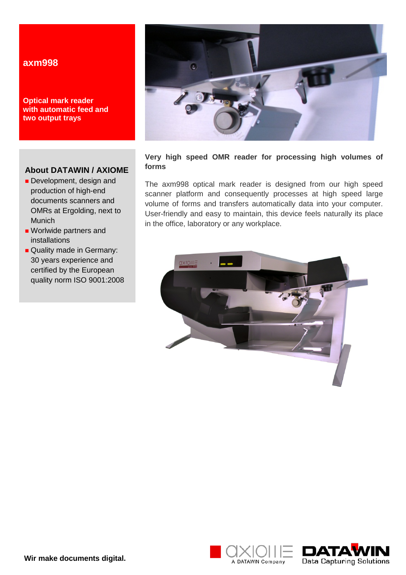# **axm998**

**Optical mark reader with automatic feed and two output trays**

## **About DATAWIN / AXIOME**

- Development, design and production of high-end documents scanners and OMRs at Ergolding, next to Munich
- **Worlwide partners and** installations
- Quality made in Germany: 30 years experience and certified by the European quality norm ISO 9001:2008



## **Very high speed OMR reader for processing high volumes of forms**

The axm998 optical mark reader is designed from our high speed scanner platform and consequently processes at high speed large volume of forms and transfers automatically data into your computer. User-friendly and easy to maintain, this device feels naturally its place in the office, laboratory or any workplace.



A DATAWIN Company